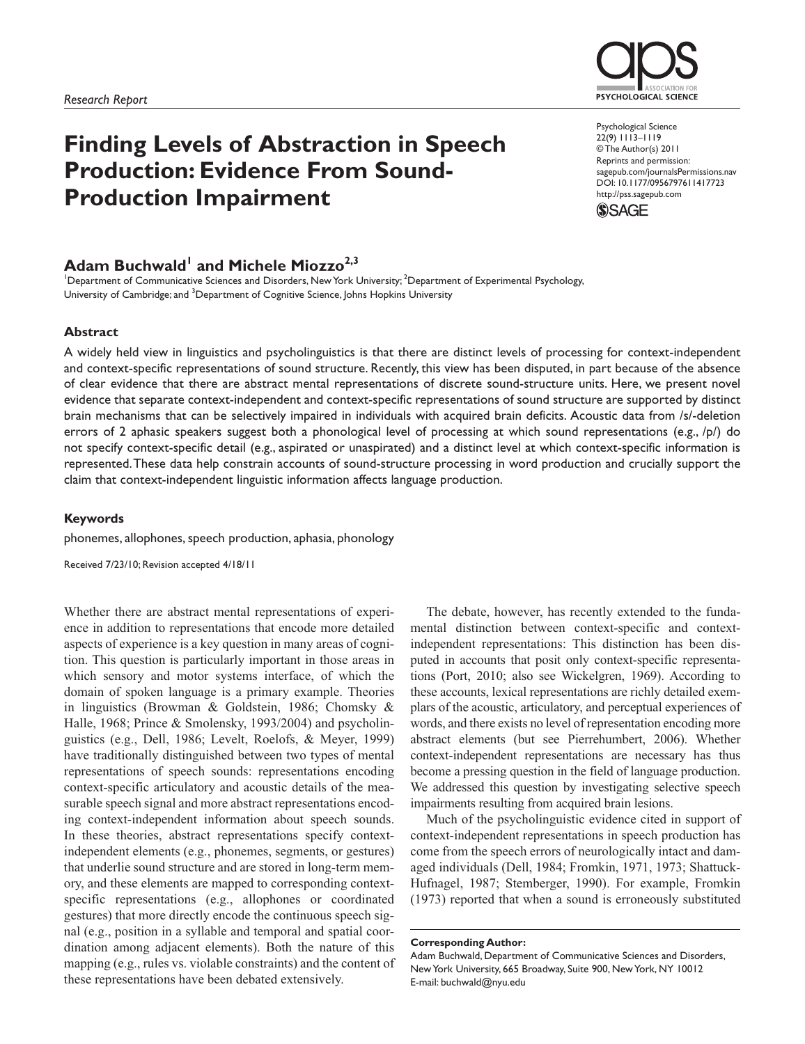

# **Finding Levels of Abstraction in Speech Production: Evidence From Sound-Production Impairment**

Psychological Science 22(9) 1113–1119 © The Author(s) 2011 Reprints and permission: sagepub.com/journalsPermissions.nav DOI: 10.1177/0956797611417723 http://pss.sagepub.com



## $\mathsf{Adam}\ \mathsf{Buchwald}^{\mathsf{I}}\ \mathsf{and}\ \mathsf{Michele}\ \mathsf{Miozzo}^{2,3}$

<sup>1</sup>Department of Communicative Sciences and Disorders, New York University; <sup>2</sup>Department of Experimental Psychology, University of Cambridge; and <sup>3</sup>Department of Cognitive Science, Johns Hopkins University

#### **Abstract**

A widely held view in linguistics and psycholinguistics is that there are distinct levels of processing for context-independent and context-specific representations of sound structure. Recently, this view has been disputed, in part because of the absence of clear evidence that there are abstract mental representations of discrete sound-structure units. Here, we present novel evidence that separate context-independent and context-specific representations of sound structure are supported by distinct brain mechanisms that can be selectively impaired in individuals with acquired brain deficits. Acoustic data from /s/-deletion errors of 2 aphasic speakers suggest both a phonological level of processing at which sound representations (e.g., /p/) do not specify context-specific detail (e.g., aspirated or unaspirated) and a distinct level at which context-specific information is represented. These data help constrain accounts of sound-structure processing in word production and crucially support the claim that context-independent linguistic information affects language production.

#### **Keywords**

phonemes, allophones, speech production, aphasia, phonology

Received 7/23/10; Revision accepted 4/18/11

Whether there are abstract mental representations of experience in addition to representations that encode more detailed aspects of experience is a key question in many areas of cognition. This question is particularly important in those areas in which sensory and motor systems interface, of which the domain of spoken language is a primary example. Theories in linguistics (Browman & Goldstein, 1986; Chomsky & Halle, 1968; Prince & Smolensky, 1993/2004) and psycholinguistics (e.g., Dell, 1986; Levelt, Roelofs, & Meyer, 1999) have traditionally distinguished between two types of mental representations of speech sounds: representations encoding context-specific articulatory and acoustic details of the measurable speech signal and more abstract representations encoding context-independent information about speech sounds. In these theories, abstract representations specify contextindependent elements (e.g., phonemes, segments, or gestures) that underlie sound structure and are stored in long-term memory, and these elements are mapped to corresponding contextspecific representations (e.g., allophones or coordinated gestures) that more directly encode the continuous speech signal (e.g., position in a syllable and temporal and spatial coordination among adjacent elements). Both the nature of this mapping (e.g., rules vs. violable constraints) and the content of these representations have been debated extensively.

The debate, however, has recently extended to the fundamental distinction between context-specific and contextindependent representations: This distinction has been disputed in accounts that posit only context-specific representations (Port, 2010; also see Wickelgren, 1969). According to these accounts, lexical representations are richly detailed exemplars of the acoustic, articulatory, and perceptual experiences of words, and there exists no level of representation encoding more abstract elements (but see Pierrehumbert, 2006). Whether context-independent representations are necessary has thus become a pressing question in the field of language production. We addressed this question by investigating selective speech impairments resulting from acquired brain lesions.

Much of the psycholinguistic evidence cited in support of context-independent representations in speech production has come from the speech errors of neurologically intact and damaged individuals (Dell, 1984; Fromkin, 1971, 1973; Shattuck-Hufnagel, 1987; Stemberger, 1990). For example, Fromkin (1973) reported that when a sound is erroneously substituted

**Corresponding Author:**

Adam Buchwald, Department of Communicative Sciences and Disorders, New York University, 665 Broadway, Suite 900, New York, NY 10012 E-mail: buchwald@nyu.edu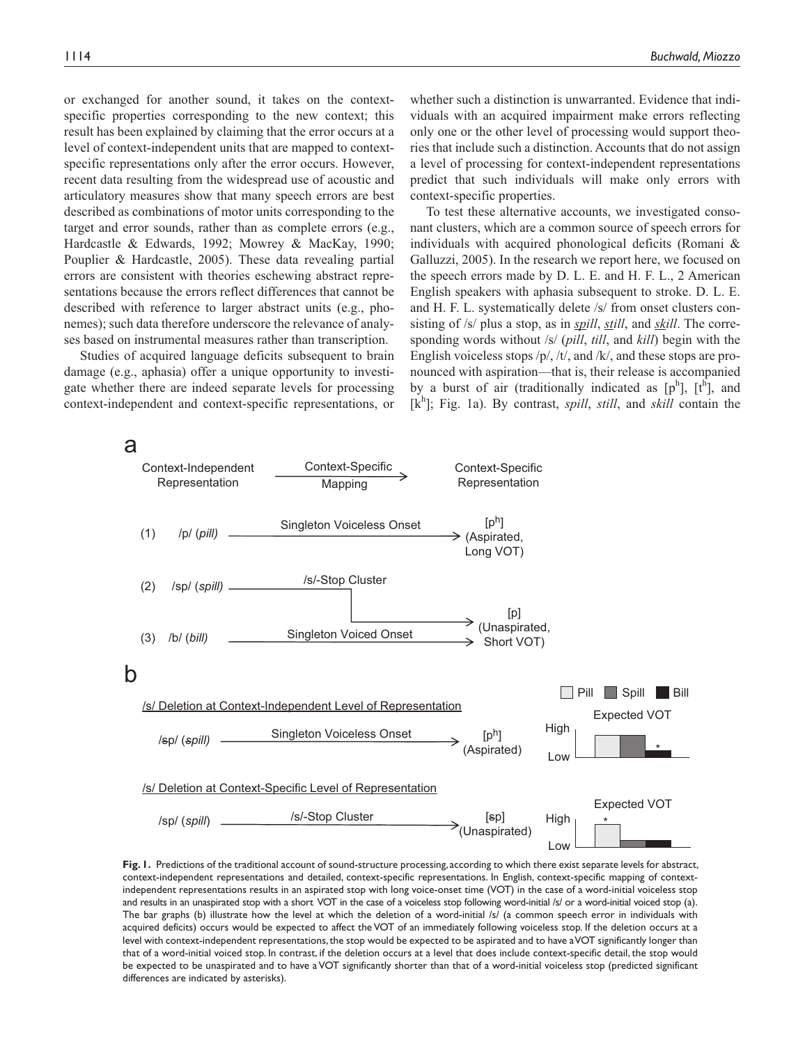or exchanged for another sound, it takes on the contextspecific properties corresponding to the new context; this result has been explained by claiming that the error occurs at a level of context-independent units that are mapped to contextspecific representations only after the error occurs. However, recent data resulting from the widespread use of acoustic and articulatory measures show that many speech errors are best described as combinations of motor units corresponding to the target and error sounds, rather than as complete errors (e.g., Hardcastle & Edwards, 1992; Mowrey & MacKay, 1990; Pouplier & Hardcastle, 2005). These data revealing partial errors are consistent with theories eschewing abstract representations because the errors reflect differences that cannot be described with reference to larger abstract units (e.g., phonemes); such data therefore underscore the relevance of analyses based on instrumental measures rather than transcription.

Studies of acquired language deficits subsequent to brain damage (e.g., aphasia) offer a unique opportunity to investigate whether there are indeed separate levels for processing context-independent and context-specific representations, or

whether such a distinction is unwarranted. Evidence that individuals with an acquired impairment make errors reflecting only one or the other level of processing would support theories that include such a distinction. Accounts that do not assign a level of processing for context-independent representations predict that such individuals will make only errors with context-specific properties.

To test these alternative accounts, we investigated consonant clusters, which are a common source of speech errors for individuals with acquired phonological deficits (Romani & Galluzzi, 2005). In the research we report here, we focused on the speech errors made by D. L. E. and H. F. L., 2 American English speakers with aphasia subsequent to stroke. D. L. E. and H. F. L. systematically delete /s/ from onset clusters consisting of /s/ plus a stop, as in *spill*, *still*, and *skill*. The corresponding words without /s/ (*pill*, *till*, and *kill*) begin with the English voiceless stops /p/, /t/, and /k/, and these stops are pronounced with aspiration—that is, their release is accompanied by a burst of air (traditionally indicated as  $[p^h]$ ,  $[t^h]$ , and [k<sup>h</sup>]; Fig. 1a). By contrast, *spill*, *still*, and *skill* contain the



Fig. 1. Predictions of the traditional account of sound-structure processing, according to which there exist separate levels for abstract, context-independent representations and detailed, context-specific representations. In English, context-specific mapping of contextindependent representations results in an aspirated stop with long voice-onset time (VOT) in the case of a word-initial voiceless stop and results in an unaspirated stop with a short VOT in the case of a voiceless stop following word-initial /s/ or a word-initial voiced stop (a). The bar graphs (b) illustrate how the level at which the deletion of a word-initial /s/ (a common speech error in individuals with acquired deficits) occurs would be expected to affect the VOT of an immediately following voiceless stop. If the deletion occurs at a level with context-independent representations, the stop would be expected to be aspirated and to have a VOT significantly longer than that of a word-initial voiced stop. In contrast, if the deletion occurs at a level that does include context-specific detail, the stop would be expected to be unaspirated and to have a VOT significantly shorter than that of a word-initial voiceless stop (predicted significant differences are indicated by asterisks).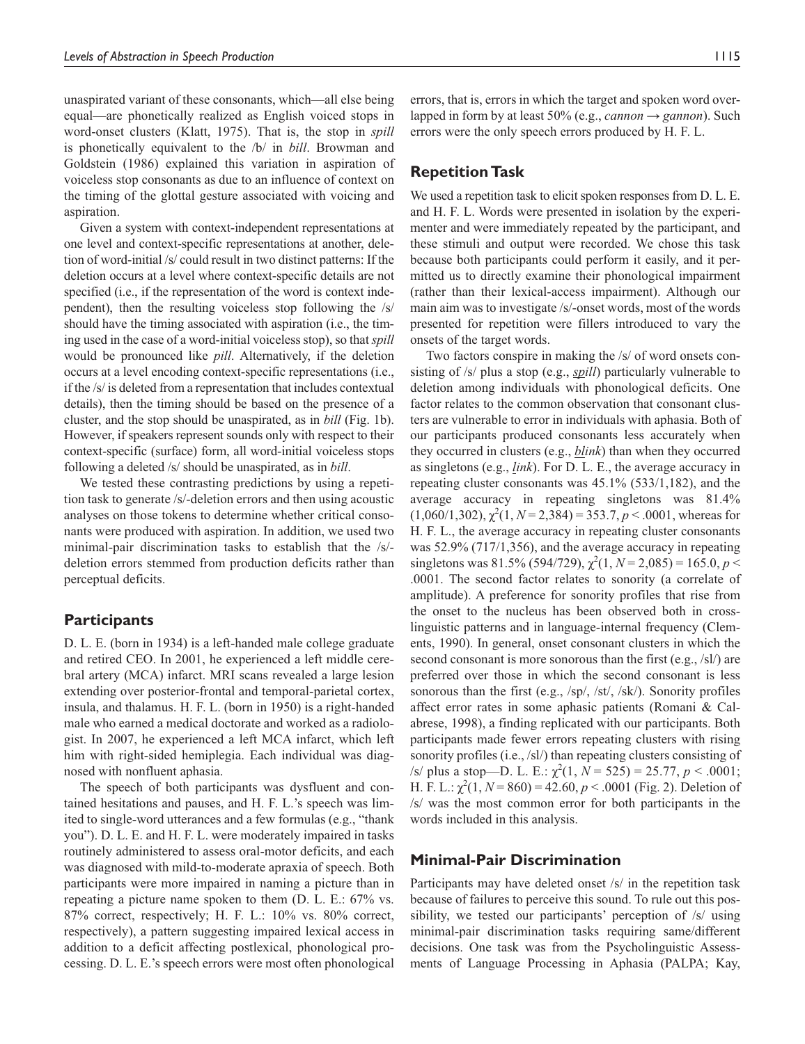unaspirated variant of these consonants, which—all else being equal—are phonetically realized as English voiced stops in word-onset clusters (Klatt, 1975). That is, the stop in *spill* is phonetically equivalent to the /b/ in *bill*. Browman and Goldstein (1986) explained this variation in aspiration of voiceless stop consonants as due to an influence of context on the timing of the glottal gesture associated with voicing and aspiration.

Given a system with context-independent representations at one level and context-specific representations at another, deletion of word-initial /s/ could result in two distinct patterns: If the deletion occurs at a level where context-specific details are not specified (i.e., if the representation of the word is context independent), then the resulting voiceless stop following the /s/ should have the timing associated with aspiration (i.e., the timing used in the case of a word-initial voiceless stop), so that *spill* would be pronounced like *pill*. Alternatively, if the deletion occurs at a level encoding context-specific representations (i.e., if the /s/ is deleted from a representation that includes contextual details), then the timing should be based on the presence of a cluster, and the stop should be unaspirated, as in *bill* (Fig. 1b). However, if speakers represent sounds only with respect to their context-specific (surface) form, all word-initial voiceless stops following a deleted /s/ should be unaspirated, as in *bill*.

We tested these contrasting predictions by using a repetition task to generate /s/-deletion errors and then using acoustic analyses on those tokens to determine whether critical consonants were produced with aspiration. In addition, we used two minimal-pair discrimination tasks to establish that the /s/ deletion errors stemmed from production deficits rather than perceptual deficits.

## **Participants**

D. L. E. (born in 1934) is a left-handed male college graduate and retired CEO. In 2001, he experienced a left middle cerebral artery (MCA) infarct. MRI scans revealed a large lesion extending over posterior-frontal and temporal-parietal cortex, insula, and thalamus. H. F. L. (born in 1950) is a right-handed male who earned a medical doctorate and worked as a radiologist. In 2007, he experienced a left MCA infarct, which left him with right-sided hemiplegia. Each individual was diagnosed with nonfluent aphasia.

The speech of both participants was dysfluent and contained hesitations and pauses, and H. F. L.'s speech was limited to single-word utterances and a few formulas (e.g., "thank you"). D. L. E. and H. F. L. were moderately impaired in tasks routinely administered to assess oral-motor deficits, and each was diagnosed with mild-to-moderate apraxia of speech. Both participants were more impaired in naming a picture than in repeating a picture name spoken to them (D. L. E.: 67% vs. 87% correct, respectively; H. F. L.: 10% vs. 80% correct, respectively), a pattern suggesting impaired lexical access in addition to a deficit affecting postlexical, phonological processing. D. L. E.'s speech errors were most often phonological

errors, that is, errors in which the target and spoken word overlapped in form by at least 50% (e.g., *cannon* → *gannon*). Such errors were the only speech errors produced by H. F. L.

### **Repetition Task**

We used a repetition task to elicit spoken responses from D. L. E. and H. F. L. Words were presented in isolation by the experimenter and were immediately repeated by the participant, and these stimuli and output were recorded. We chose this task because both participants could perform it easily, and it permitted us to directly examine their phonological impairment (rather than their lexical-access impairment). Although our main aim was to investigate /s/-onset words, most of the words presented for repetition were fillers introduced to vary the onsets of the target words.

Two factors conspire in making the /s/ of word onsets consisting of /s/ plus a stop (e.g., *spill*) particularly vulnerable to deletion among individuals with phonological deficits. One factor relates to the common observation that consonant clusters are vulnerable to error in individuals with aphasia. Both of our participants produced consonants less accurately when they occurred in clusters (e.g., *blink*) than when they occurred as singletons (e.g., *link*). For D. L. E., the average accuracy in repeating cluster consonants was 45.1% (533/1,182), and the average accuracy in repeating singletons was 81.4%  $(1,060/1,302)$ ,  $\chi^2(1, N=2,384) = 353.7, p < .0001$ , whereas for H. F. L., the average accuracy in repeating cluster consonants was 52.9% (717/1,356), and the average accuracy in repeating singletons was 81.5% (594/729),  $\chi^2(1, N=2,085) = 165.0, p <$ .0001. The second factor relates to sonority (a correlate of amplitude). A preference for sonority profiles that rise from the onset to the nucleus has been observed both in crosslinguistic patterns and in language-internal frequency (Clements, 1990). In general, onset consonant clusters in which the second consonant is more sonorous than the first (e.g., /sl/) are preferred over those in which the second consonant is less sonorous than the first (e.g., /sp/, /st/, /sk/). Sonority profiles affect error rates in some aphasic patients (Romani & Calabrese, 1998), a finding replicated with our participants. Both participants made fewer errors repeating clusters with rising sonority profiles (i.e., /sl/) than repeating clusters consisting of  $\sqrt{s}$  plus a stop—D. L. E.:  $\chi^2(1, N = 525) = 25.77, p < .0001;$ H. F. L.:  $\chi^2(1, N = 860) = 42.60, p < .0001$  (Fig. 2). Deletion of /s/ was the most common error for both participants in the words included in this analysis.

### **Minimal-Pair Discrimination**

Participants may have deleted onset /s/ in the repetition task because of failures to perceive this sound. To rule out this possibility, we tested our participants' perception of /s/ using minimal-pair discrimination tasks requiring same/different decisions. One task was from the Psycholinguistic Assessments of Language Processing in Aphasia (PALPA; Kay,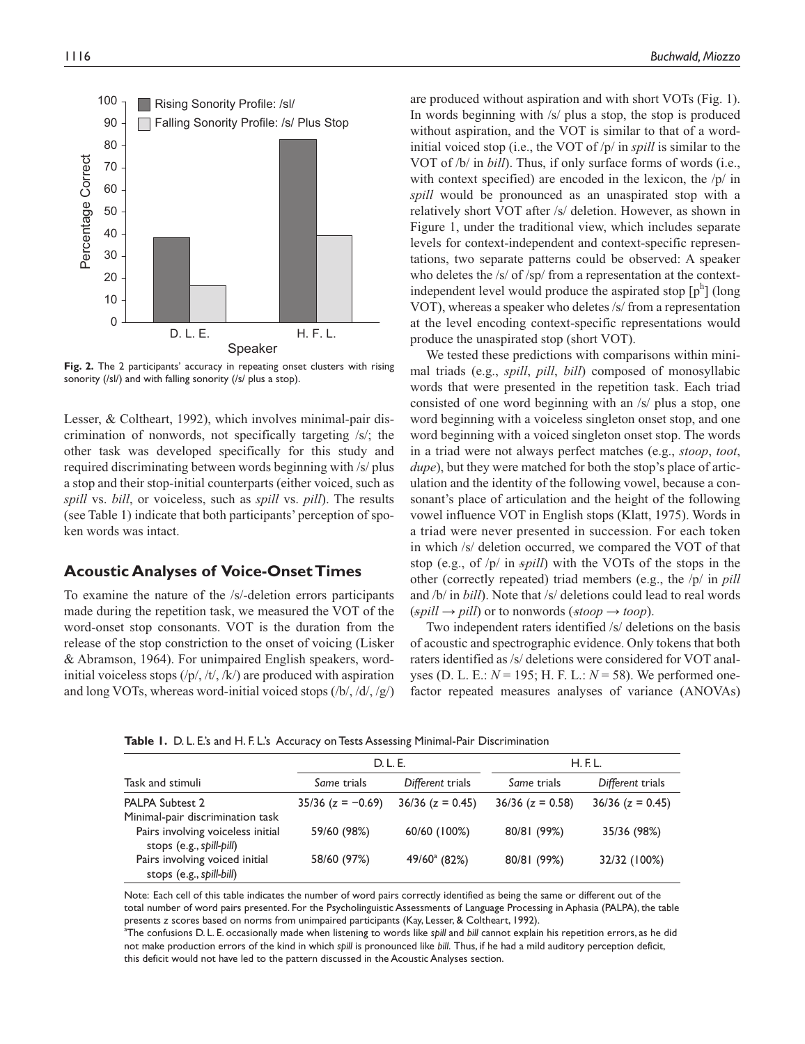

**Fig. 2.** The 2 participants' accuracy in repeating onset clusters with rising sonority (/sl/) and with falling sonority (/s/ plus a stop).

Lesser, & Coltheart, 1992), which involves minimal-pair discrimination of nonwords, not specifically targeting /s/; the other task was developed specifically for this study and required discriminating between words beginning with /s/ plus a stop and their stop-initial counterparts (either voiced, such as *spill* vs. *bill*, or voiceless, such as *spill* vs. *pill*). The results (see Table 1) indicate that both participants' perception of spoken words was intact.

## **Acoustic Analyses of Voice-Onset Times**

To examine the nature of the /s/-deletion errors participants made during the repetition task, we measured the VOT of the word-onset stop consonants. VOT is the duration from the release of the stop constriction to the onset of voicing (Lisker & Abramson, 1964). For unimpaired English speakers, wordinitial voiceless stops  $(\frac{p}{\lambda}, \frac{t}{\lambda})$  are produced with aspiration and long VOTs, whereas word-initial voiced stops  $(\frac{b}{\sqrt{d}}, \frac{d}{g})$ 

are produced without aspiration and with short VOTs (Fig. 1). In words beginning with /s/ plus a stop, the stop is produced without aspiration, and the VOT is similar to that of a wordinitial voiced stop (i.e., the VOT of /p/ in *spill* is similar to the VOT of /b/ in *bill*). Thus, if only surface forms of words (i.e., with context specified) are encoded in the lexicon, the  $/p/$  in *spill* would be pronounced as an unaspirated stop with a relatively short VOT after /s/ deletion. However, as shown in Figure 1, under the traditional view, which includes separate levels for context-independent and context-specific representations, two separate patterns could be observed: A speaker who deletes the /s/ of /sp/ from a representation at the contextindependent level would produce the aspirated stop  $[p^h]$  (long VOT), whereas a speaker who deletes /s/ from a representation at the level encoding context-specific representations would produce the unaspirated stop (short VOT).

We tested these predictions with comparisons within minimal triads (e.g., *spill*, *pill*, *bill*) composed of monosyllabic words that were presented in the repetition task. Each triad consisted of one word beginning with an /s/ plus a stop, one word beginning with a voiceless singleton onset stop, and one word beginning with a voiced singleton onset stop. The words in a triad were not always perfect matches (e.g., *stoop*, *toot*, *dupe*), but they were matched for both the stop's place of articulation and the identity of the following vowel, because a consonant's place of articulation and the height of the following vowel influence VOT in English stops (Klatt, 1975). Words in a triad were never presented in succession. For each token in which /s/ deletion occurred, we compared the VOT of that stop (e.g., of  $|p|$  in *spill*) with the VOTs of the stops in the other (correctly repeated) triad members (e.g., the /p/ in *pill* and /b/ in *bill*). Note that /s/ deletions could lead to real words  $(\textit{spill} \rightarrow \textit{pill})$  or to nonwords ( $\textit{stop} \rightarrow \textit{toop}$ ).

Two independent raters identified /s/ deletions on the basis of acoustic and spectrographic evidence. Only tokens that both raters identified as /s/ deletions were considered for VOT analyses (D. L. E.: *N* = 195; H. F. L.: *N* = 58). We performed onefactor repeated measures analyses of variance (ANOVAs)

**Table 1.** D. L. E.'s and H. F. L.'s Accuracy on Tests Assessing Minimal-Pair Discrimination

|                                                               | D. L. E.                        |                        | H.E.L.                          |                        |  |
|---------------------------------------------------------------|---------------------------------|------------------------|---------------------------------|------------------------|--|
| Task and stimuli                                              | Different trials<br>Same trials |                        | Different trials<br>Same trials |                        |  |
| PALPA Subtest 2                                               | $35/36$ (z = -0.69)             | $36/36$ ( $z = 0.45$ ) | $36/36$ ( $z = 0.58$ )          | $36/36$ ( $z = 0.45$ ) |  |
| Minimal-pair discrimination task                              |                                 |                        |                                 |                        |  |
| Pairs involving voiceless initial<br>stops (e.g., spill-pill) | 59/60 (98%)                     | 60/60 (100%)           | 80/81 (99%)                     | 35/36 (98%)            |  |
| Pairs involving voiced initial<br>stops (e.g., spill-bill)    | 58/60 (97%)                     | $49/60^{\circ}$ (82%)  | 80/81 (99%)                     | 32/32 (100%)           |  |

Note: Each cell of this table indicates the number of word pairs correctly identified as being the same or different out of the total number of word pairs presented. For the Psycholinguistic Assessments of Language Processing in Aphasia (PALPA), the table presents *z* scores based on norms from unimpaired participants (Kay, Lesser, & Coltheart, 1992).

a The confusions D. L. E. occasionally made when listening to words like *spill* and *bill* cannot explain his repetition errors, as he did not make production errors of the kind in which *spill* is pronounced like *bill*. Thus, if he had a mild auditory perception deficit, this deficit would not have led to the pattern discussed in the Acoustic Analyses section.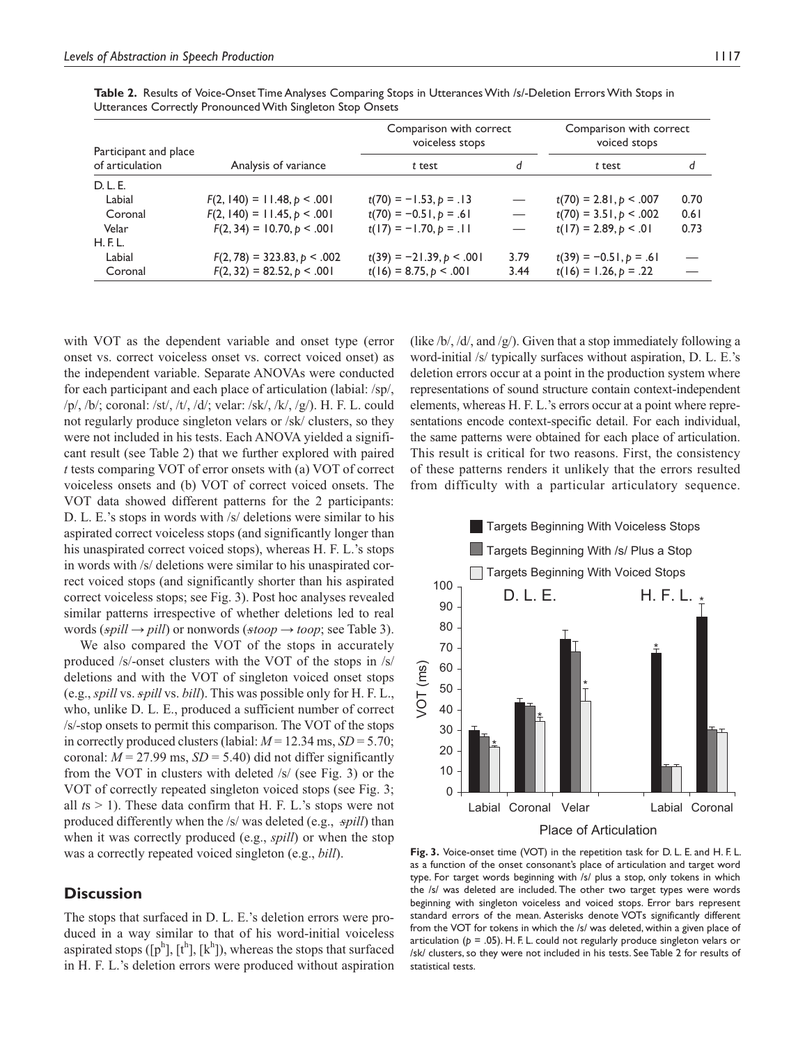| Participant and place |                               | Comparison with correct<br>voiceless stops |                               | Comparison with correct<br>voiced stops |      |
|-----------------------|-------------------------------|--------------------------------------------|-------------------------------|-----------------------------------------|------|
| of articulation       | Analysis of variance          | t test                                     | d                             | t test                                  | d    |
| D. L. E.              |                               |                                            |                               |                                         |      |
| Labial                | $F(2, 140) = 11.48, p < .001$ | $t(70) = -1.53, p = .13$                   | $\overline{\phantom{m}}$      | $t(70) = 2.81, p < .007$                | 0.70 |
| Coronal               | $F(2, 140) = 11.45, p < .001$ | $t(70) = -0.51, p = .61$                   | $\overline{\phantom{m}}$      | $t(70) = 3.51, p < .002$                | 0.61 |
| Velar                 | $F(2, 34) = 10.70, p < .001$  | $t(17) = -1.70, p = .11$                   | $\overbrace{\phantom{13333}}$ | $t(17) = 2.89, p < .01$                 | 0.73 |
| H.E.L.                |                               |                                            |                               |                                         |      |
| Labial                | $F(2, 78) = 323.83, p < .002$ | $t(39) = -21.39, p < .001$                 | 3.79                          | $t(39) = -0.51, p = .61$                |      |
| Coronal               | $F(2, 32) = 82.52, p < .001$  | $t(16) = 8.75, p < .001$                   | 3.44                          | $t(16) = 1.26, p = .22$                 |      |

**Table 2.** Results of Voice-Onset Time Analyses Comparing Stops in Utterances With /s/-Deletion Errors With Stops in Utterances Correctly Pronounced With Singleton Stop Onsets

with VOT as the dependent variable and onset type (error onset vs. correct voiceless onset vs. correct voiced onset) as the independent variable. Separate ANOVAs were conducted for each participant and each place of articulation (labial: /sp/, /p/, /b/; coronal: /st/, /t/, /d/; velar: /sk/, /k/, /g/). H. F. L. could not regularly produce singleton velars or /sk/ clusters, so they were not included in his tests. Each ANOVA yielded a significant result (see Table 2) that we further explored with paired *t* tests comparing VOT of error onsets with (a) VOT of correct voiceless onsets and (b) VOT of correct voiced onsets. The VOT data showed different patterns for the 2 participants: D. L. E.'s stops in words with /s/ deletions were similar to his aspirated correct voiceless stops (and significantly longer than his unaspirated correct voiced stops), whereas H. F. L.'s stops in words with /s/ deletions were similar to his unaspirated correct voiced stops (and significantly shorter than his aspirated correct voiceless stops; see Fig. 3). Post hoc analyses revealed similar patterns irrespective of whether deletions led to real words ( $\text{spill} \rightarrow \text{pill}$ ) or nonwords ( $\text{stop} \rightarrow \text{loop}$ ; see Table 3).

We also compared the VOT of the stops in accurately produced /s/-onset clusters with the VOT of the stops in /s/ deletions and with the VOT of singleton voiced onset stops (e.g., *spill* vs. –*spill* vs. *bill*). This was possible only for H. F. L., who, unlike D. L. E., produced a sufficient number of correct /s/-stop onsets to permit this comparison. The VOT of the stops in correctly produced clusters (labial:  $M = 12.34$  ms,  $SD = 5.70$ ; coronal:  $M = 27.99$  ms,  $SD = 5.40$ ) did not differ significantly from the VOT in clusters with deleted /s/ (see Fig. 3) or the VOT of correctly repeated singleton voiced stops (see Fig. 3; all  $t s > 1$ ). These data confirm that H. F. L.'s stops were not produced differently when the /s/ was deleted (e.g., –*spill*) than when it was correctly produced (e.g., *spill*) or when the stop was a correctly repeated voiced singleton (e.g., *bill*).

## **Discussion**

The stops that surfaced in D. L. E.'s deletion errors were produced in a way similar to that of his word-initial voiceless aspirated stops  $([p^h], [t^h], [k^h])$ , whereas the stops that surfaced in H. F. L.'s deletion errors were produced without aspiration

(like  $/b$ ,  $/d$ , and  $/g$ ). Given that a stop immediately following a word-initial /s/ typically surfaces without aspiration, D. L. E.'s deletion errors occur at a point in the production system where representations of sound structure contain context-independent elements, whereas H. F. L.'s errors occur at a point where representations encode context-specific detail. For each individual, the same patterns were obtained for each place of articulation. This result is critical for two reasons. First, the consistency of these patterns renders it unlikely that the errors resulted from difficulty with a particular articulatory sequence.



**Fig. 3.** Voice-onset time (VOT) in the repetition task for D. L. E. and H. F. L. as a function of the onset consonant's place of articulation and target word type. For target words beginning with /s/ plus a stop, only tokens in which the /s/ was deleted are included. The other two target types were words beginning with singleton voiceless and voiced stops. Error bars represent standard errors of the mean. Asterisks denote VOTs significantly different from the VOT for tokens in which the /s/ was deleted, within a given place of articulation (*p* = .05). H. F. L. could not regularly produce singleton velars or /sk/ clusters, so they were not included in his tests. See Table 2 for results of statistical tests.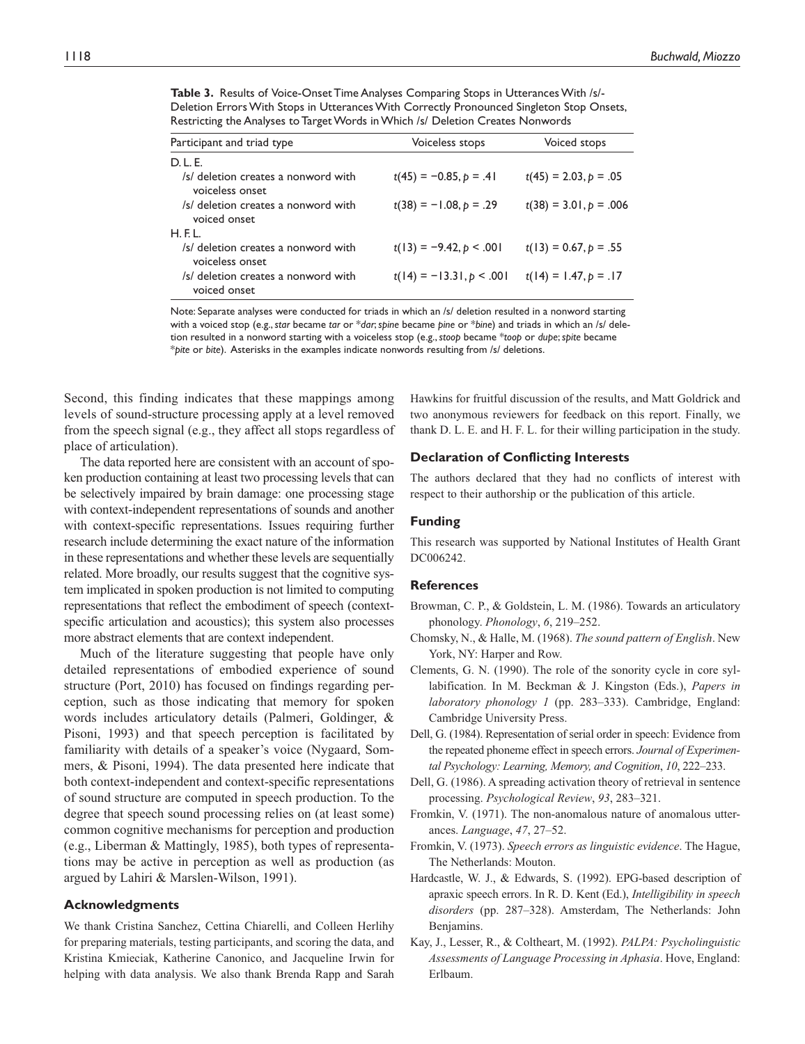| Participant and triad type                             | Voiceless stops            | Voiced stops             |  |  |  |  |
|--------------------------------------------------------|----------------------------|--------------------------|--|--|--|--|
| D. L. E.                                               |                            |                          |  |  |  |  |
| /s/ deletion creates a nonword with<br>voiceless onset | $t(45) = -0.85, p = .41$   | $t(45) = 2.03, p = .05$  |  |  |  |  |
| /s/ deletion creates a nonword with<br>voiced onset    | $t(38) = -1.08, p = .29$   | $t(38) = 3.01, p = .006$ |  |  |  |  |
| H.E.L.                                                 |                            |                          |  |  |  |  |
| /s/ deletion creates a nonword with<br>voiceless onset | $t(13) = -9.42, p < .001$  | $t(13) = 0.67, p = .55$  |  |  |  |  |
| /s/ deletion creates a nonword with<br>voiced onset    | $t(14) = -13.31, p < .001$ | $t(14) = 1.47, p = .17$  |  |  |  |  |

**Table 3.** Results of Voice-Onset Time Analyses Comparing Stops in Utterances With /s/- Deletion Errors With Stops in Utterances With Correctly Pronounced Singleton Stop Onsets, Restricting the Analyses to Target Words in Which /s/ Deletion Creates Nonwords

Note: Separate analyses were conducted for triads in which an /s/ deletion resulted in a nonword starting with a voiced stop (e.g., *star* became *tar* or \**dar*; *spine* became *pine* or \**bine*) and triads in which an /s/ deletion resulted in a nonword starting with a voiceless stop (e.g., *stoop* became \**toop* or *dupe*; *spite* became \**pite* or *bite*). Asterisks in the examples indicate nonwords resulting from /s/ deletions.

Second, this finding indicates that these mappings among levels of sound-structure processing apply at a level removed from the speech signal (e.g., they affect all stops regardless of place of articulation).

The data reported here are consistent with an account of spoken production containing at least two processing levels that can be selectively impaired by brain damage: one processing stage with context-independent representations of sounds and another with context-specific representations. Issues requiring further research include determining the exact nature of the information in these representations and whether these levels are sequentially related. More broadly, our results suggest that the cognitive system implicated in spoken production is not limited to computing representations that reflect the embodiment of speech (contextspecific articulation and acoustics); this system also processes more abstract elements that are context independent.

Much of the literature suggesting that people have only detailed representations of embodied experience of sound structure (Port, 2010) has focused on findings regarding perception, such as those indicating that memory for spoken words includes articulatory details (Palmeri, Goldinger, & Pisoni, 1993) and that speech perception is facilitated by familiarity with details of a speaker's voice (Nygaard, Sommers, & Pisoni, 1994). The data presented here indicate that both context-independent and context-specific representations of sound structure are computed in speech production. To the degree that speech sound processing relies on (at least some) common cognitive mechanisms for perception and production (e.g., Liberman & Mattingly, 1985), both types of representations may be active in perception as well as production (as argued by Lahiri & Marslen-Wilson, 1991).

#### **Acknowledgments**

We thank Cristina Sanchez, Cettina Chiarelli, and Colleen Herlihy for preparing materials, testing participants, and scoring the data, and Kristina Kmieciak, Katherine Canonico, and Jacqueline Irwin for helping with data analysis. We also thank Brenda Rapp and Sarah

Hawkins for fruitful discussion of the results, and Matt Goldrick and two anonymous reviewers for feedback on this report. Finally, we thank D. L. E. and H. F. L. for their willing participation in the study.

#### **Declaration of Conflicting Interests**

The authors declared that they had no conflicts of interest with respect to their authorship or the publication of this article.

#### **Funding**

This research was supported by National Institutes of Health Grant DC006242.

#### **References**

- Browman, C. P., & Goldstein, L. M. (1986). Towards an articulatory phonology. *Phonology*, *6*, 219–252.
- Chomsky, N., & Halle, M. (1968). *The sound pattern of English*. New York, NY: Harper and Row.
- Clements, G. N. (1990). The role of the sonority cycle in core syllabification. In M. Beckman & J. Kingston (Eds.), *Papers in laboratory phonology 1* (pp. 283–333). Cambridge, England: Cambridge University Press.
- Dell, G. (1984). Representation of serial order in speech: Evidence from the repeated phoneme effect in speech errors. *Journal of Experimental Psychology: Learning, Memory, and Cognition*, *10*, 222–233.
- Dell, G. (1986). A spreading activation theory of retrieval in sentence processing. *Psychological Review*, *93*, 283–321.
- Fromkin, V. (1971). The non-anomalous nature of anomalous utterances. *Language*, *47*, 27–52.
- Fromkin, V. (1973). *Speech errors as linguistic evidence*. The Hague, The Netherlands: Mouton.
- Hardcastle, W. J., & Edwards, S. (1992). EPG-based description of apraxic speech errors. In R. D. Kent (Ed.), *Intelligibility in speech disorders* (pp. 287–328). Amsterdam, The Netherlands: John Benjamins.
- Kay, J., Lesser, R., & Coltheart, M. (1992). *PALPA: Psycholinguistic Assessments of Language Processing in Aphasia*. Hove, England: Erlbaum.